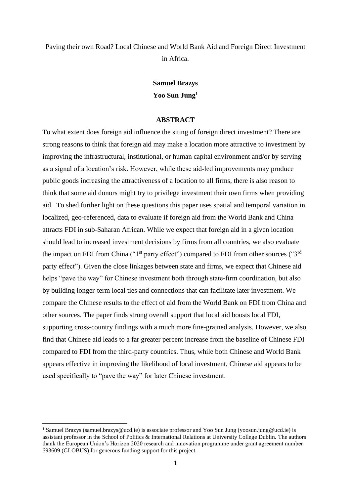Paving their own Road? Local Chinese and World Bank Aid and Foreign Direct Investment in Africa.

## **Samuel Brazys Yoo Sun Jung<sup>1</sup>**

## **ABSTRACT**

To what extent does foreign aid influence the siting of foreign direct investment? There are strong reasons to think that foreign aid may make a location more attractive to investment by improving the infrastructural, institutional, or human capital environment and/or by serving as a signal of a location's risk. However, while these aid-led improvements may produce public goods increasing the attractiveness of a location to all firms, there is also reason to think that some aid donors might try to privilege investment their own firms when providing aid. To shed further light on these questions this paper uses spatial and temporal variation in localized, geo-referenced, data to evaluate if foreign aid from the World Bank and China attracts FDI in sub-Saharan African. While we expect that foreign aid in a given location should lead to increased investment decisions by firms from all countries, we also evaluate the impact on FDI from China (" $1<sup>st</sup>$  party effect") compared to FDI from other sources (" $3<sup>rd</sup>$ party effect"). Given the close linkages between state and firms, we expect that Chinese aid helps "pave the way" for Chinese investment both through state-firm coordination, but also by building longer-term local ties and connections that can facilitate later investment. We compare the Chinese results to the effect of aid from the World Bank on FDI from China and other sources. The paper finds strong overall support that local aid boosts local FDI, supporting cross-country findings with a much more fine-grained analysis. However, we also find that Chinese aid leads to a far greater percent increase from the baseline of Chinese FDI compared to FDI from the third-party countries. Thus, while both Chinese and World Bank appears effective in improving the likelihood of local investment, Chinese aid appears to be used specifically to "pave the way" for later Chinese investment.

<sup>&</sup>lt;sup>1</sup> Samuel Brazys (samuel.brazys@ucd.ie) is associate professor and Yoo Sun Jung (yoosun.jung@ucd.ie) is assistant professor in the School of Politics & International Relations at University College Dublin. The authors thank the European Union's Horizon 2020 research and innovation programme under grant agreement number 693609 (GLOBUS) for generous funding support for this project.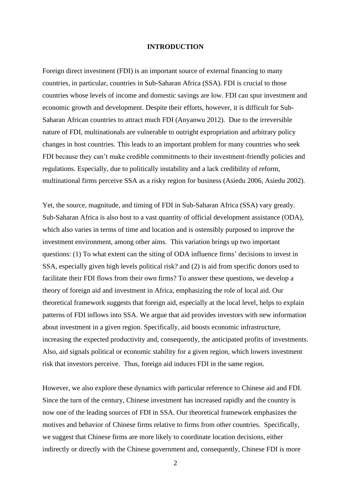### **INTRODUCTION**

Foreign direct investment (FDI) is an important source of external financing to many countries, in particular, countries in Sub-Saharan Africa (SSA). FDI is crucial to those countries whose levels of income and domestic savings are low. FDI can spur investment and economic growth and development. Despite their efforts, however, it is difficult for Sub-Saharan African countries to attract much FDI (Anyanwu 2012). Due to the irreversible nature of FDI, multinationals are vulnerable to outright expropriation and arbitrary policy changes in host countries. This leads to an important problem for many countries who seek FDI because they can't make credible commitments to their investment-friendly policies and regulations. Especially, due to politically instability and a lack credibility of reform, multinational firms perceive SSA as a risky region for business (Asiedu 2006, Asiedu 2002).

Yet, the source, magnitude, and timing of FDI in Sub-Saharan Africa (SSA) vary greatly. Sub-Saharan Africa is also host to a vast quantity of official development assistance (ODA), which also varies in terms of time and location and is ostensibly purposed to improve the investment environment, among other aims. This variation brings up two important questions: (1) To what extent can the siting of ODA influence firms' decisions to invest in SSA, especially given high levels political risk? and (2) is aid from specific donors used to facilitate their FDI flows from their own firms? To answer these questions, we develop a theory of foreign aid and investment in Africa, emphasizing the role of local aid. Our theoretical framework suggests that foreign aid, especially at the local level, helps to explain patterns of FDI inflows into SSA. We argue that aid provides investors with new information about investment in a given region. Specifically, aid boosts economic infrastructure, increasing the expected productivity and, consequently, the anticipated profits of investments. Also, aid signals political or economic stability for a given region, which lowers investment risk that investors perceive. Thus, foreign aid induces FDI in the same region.

However, we also explore these dynamics with particular reference to Chinese aid and FDI. Since the turn of the century, Chinese investment has increased rapidly and the country is now one of the leading sources of FDI in SSA. Our theoretical framework emphasizes the motives and behavior of Chinese firms relative to firms from other countries. Specifically, we suggest that Chinese firms are more likely to coordinate location decisions, either indirectly or directly with the Chinese government and, consequently, Chinese FDI is more

2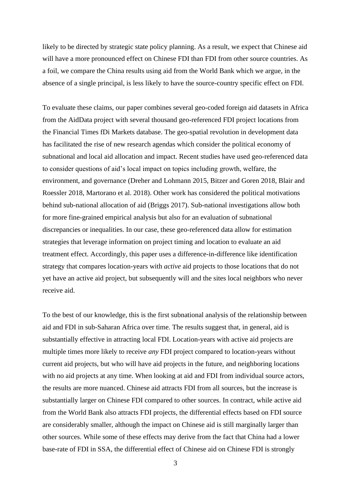likely to be directed by strategic state policy planning. As a result, we expect that Chinese aid will have a more pronounced effect on Chinese FDI than FDI from other source countries. As a foil, we compare the China results using aid from the World Bank which we argue, in the absence of a single principal, is less likely to have the source-country specific effect on FDI.

To evaluate these claims, our paper combines several geo-coded foreign aid datasets in Africa from the AidData project with several thousand geo-referenced FDI project locations from the Financial Times fDi Markets database. The geo-spatial revolution in development data has facilitated the rise of new research agendas which consider the political economy of subnational and local aid allocation and impact. Recent studies have used geo-referenced data to consider questions of aid's local impact on topics including growth, welfare, the environment, and governance (Dreher and Lohmann 2015, Bitzer and Goren 2018, Blair and Roessler 2018, Martorano et al. 2018). Other work has considered the political motivations behind sub-national allocation of aid (Briggs 2017). Sub-national investigations allow both for more fine-grained empirical analysis but also for an evaluation of subnational discrepancies or inequalities. In our case, these geo-referenced data allow for estimation strategies that leverage information on project timing and location to evaluate an aid treatment effect. Accordingly, this paper uses a difference-in-difference like identification strategy that compares location-years with *active* aid projects to those locations that do not yet have an active aid project, but subsequently will and the sites local neighbors who never receive aid.

To the best of our knowledge, this is the first subnational analysis of the relationship between aid and FDI in sub-Saharan Africa over time. The results suggest that, in general, aid is substantially effective in attracting local FDI. Location-years with active aid projects are multiple times more likely to receive *any* FDI project compared to location-years without current aid projects, but who will have aid projects in the future, and neighboring locations with no aid projects at any time. When looking at aid and FDI from individual source actors, the results are more nuanced. Chinese aid attracts FDI from all sources, but the increase is substantially larger on Chinese FDI compared to other sources. In contract, while active aid from the World Bank also attracts FDI projects, the differential effects based on FDI source are considerably smaller, although the impact on Chinese aid is still marginally larger than other sources. While some of these effects may derive from the fact that China had a lower base-rate of FDI in SSA, the differential effect of Chinese aid on Chinese FDI is strongly

3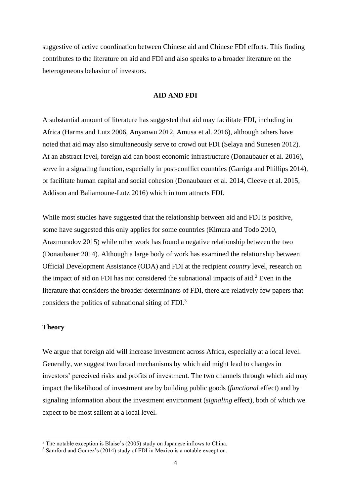suggestive of active coordination between Chinese aid and Chinese FDI efforts. This finding contributes to the literature on aid and FDI and also speaks to a broader literature on the heterogeneous behavior of investors.

## **AID AND FDI**

A substantial amount of literature has suggested that aid may facilitate FDI, including in Africa (Harms and Lutz 2006, Anyanwu 2012, Amusa et al. 2016), although others have noted that aid may also simultaneously serve to crowd out FDI (Selaya and Sunesen 2012). At an abstract level, foreign aid can boost economic infrastructure (Donaubauer et al. 2016), serve in a signaling function, especially in post-conflict countries (Garriga and Phillips 2014), or facilitate human capital and social cohesion (Donaubauer et al. 2014, Cleeve et al. 2015, Addison and Baliamoune-Lutz 2016) which in turn attracts FDI.

While most studies have suggested that the relationship between aid and FDI is positive, some have suggested this only applies for some countries (Kimura and Todo 2010, Arazmuradov 2015) while other work has found a negative relationship between the two (Donaubauer 2014). Although a large body of work has examined the relationship between Official Development Assistance (ODA) and FDI at the recipient *country* level, research on the impact of aid on FDI has not considered the subnational impacts of aid.<sup>2</sup> Even in the literature that considers the broader determinants of FDI, there are relatively few papers that considers the politics of subnational siting of FDI. $3$ 

### **Theory**

We argue that foreign aid will increase investment across Africa, especially at a local level. Generally, we suggest two broad mechanisms by which aid might lead to changes in investors' perceived risks and profits of investment. The two channels through which aid may impact the likelihood of investment are by building public goods (*functional* effect) and by signaling information about the investment environment (*signaling* effect), both of which we expect to be most salient at a local level.

<sup>&</sup>lt;sup>2</sup> The notable exception is Blaise's (2005) study on Japanese inflows to China.

<sup>&</sup>lt;sup>3</sup> Samford and Gomez's (2014) study of FDI in Mexico is a notable exception.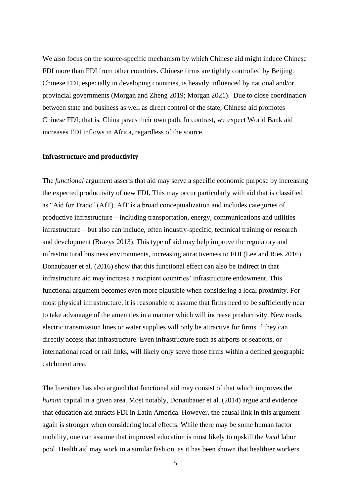We also focus on the source-specific mechanism by which Chinese aid might induce Chinese FDI more than FDI from other countries. Chinese firms are tightly controlled by Beijing. Chinese FDI, especially in developing countries, is heavily influenced by national and/or provincial governments (Morgan and Zheng 2019; Morgan 2021). Due to close coordination between state and business as well as direct control of the state, Chinese aid promotes Chinese FDI; that is, China paves their own path. In contrast, we expect World Bank aid increases FDI inflows in Africa, regardless of the source.

### **Infrastructure and productivity**

The *functional* argument asserts that aid may serve a specific economic purpose by increasing the expected productivity of new FDI. This may occur particularly with aid that is classified as "Aid for Trade" (AfT). AfT is a broad conceptualization and includes categories of productive infrastructure – including transportation, energy, communications and utilities infrastructure – but also can include, often industry-specific, technical training or research and development (Brazys 2013). This type of aid may help improve the regulatory and infrastructural business environments, increasing attractiveness to FDI (Lee and Ries 2016). Donaubauer et al. (2016) show that this functional effect can also be indirect in that infrastructure aid may increase a recipient countries' infrastructure endowment. This functional argument becomes even more plausible when considering a local proximity. For most physical infrastructure, it is reasonable to assume that firms need to be sufficiently near to take advantage of the amenities in a manner which will increase productivity. New roads, electric transmission lines or water supplies will only be attractive for firms if they can directly access that infrastructure. Even infrastructure such as airports or seaports, or international road or rail links, will likely only serve those firms within a defined geographic catchment area.

The literature has also argued that functional aid may consist of that which improves the *human* capital in a given area. Most notably, Donaubauer et al. (2014) argue and evidence that education aid attracts FDI in Latin America. However, the causal link in this argument again is stronger when considering local effects. While there may be some human factor mobility, one can assume that improved education is most likely to upskill the *local* labor pool. Health aid may work in a similar fashion, as it has been shown that healthier workers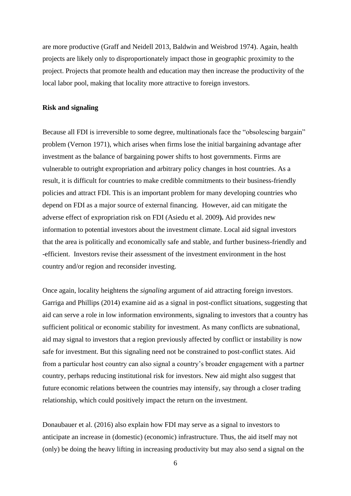are more productive (Graff and Neidell 2013, Baldwin and Weisbrod 1974). Again, health projects are likely only to disproportionately impact those in geographic proximity to the project. Projects that promote health and education may then increase the productivity of the local labor pool, making that locality more attractive to foreign investors.

### **Risk and signaling**

Because all FDI is irreversible to some degree, multinationals face the "obsolescing bargain" problem (Vernon 1971), which arises when firms lose the initial bargaining advantage after investment as the balance of bargaining power shifts to host governments. Firms are vulnerable to outright expropriation and arbitrary policy changes in host countries. As a result, it is difficult for countries to make credible commitments to their business-friendly policies and attract FDI. This is an important problem for many developing countries who depend on FDI as a major source of external financing. However, aid can mitigate the adverse effect of expropriation risk on FDI (Asiedu et al. 2009**).** Aid provides new information to potential investors about the investment climate. Local aid signal investors that the area is politically and economically safe and stable, and further business-friendly and -efficient. Investors revise their assessment of the investment environment in the host country and/or region and reconsider investing.

Once again, locality heightens the *signaling* argument of aid attracting foreign investors. Garriga and Phillips (2014) examine aid as a signal in post-conflict situations, suggesting that aid can serve a role in low information environments, signaling to investors that a country has sufficient political or economic stability for investment. As many conflicts are subnational, aid may signal to investors that a region previously affected by conflict or instability is now safe for investment. But this signaling need not be constrained to post-conflict states. Aid from a particular host country can also signal a country's broader engagement with a partner country, perhaps reducing institutional risk for investors. New aid might also suggest that future economic relations between the countries may intensify, say through a closer trading relationship, which could positively impact the return on the investment.

Donaubauer et al. (2016) also explain how FDI may serve as a signal to investors to anticipate an increase in (domestic) (economic) infrastructure. Thus, the aid itself may not (only) be doing the heavy lifting in increasing productivity but may also send a signal on the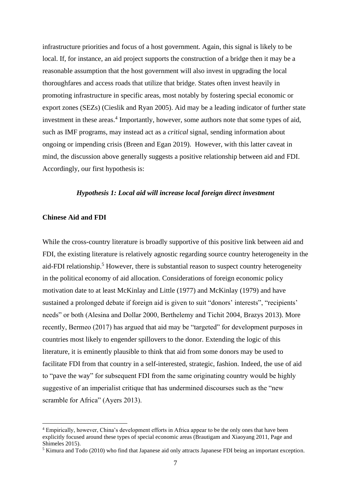infrastructure priorities and focus of a host government. Again, this signal is likely to be local. If, for instance, an aid project supports the construction of a bridge then it may be a reasonable assumption that the host government will also invest in upgrading the local thoroughfares and access roads that utilize that bridge. States often invest heavily in promoting infrastructure in specific areas, most notably by fostering special economic or export zones (SEZs) (Cieslik and Ryan 2005). Aid may be a leading indicator of further state investment in these areas.<sup>4</sup> Importantly, however, some authors note that some types of aid, such as IMF programs, may instead act as a *critical* signal, sending information about ongoing or impending crisis (Breen and Egan 2019). However, with this latter caveat in mind, the discussion above generally suggests a positive relationship between aid and FDI. Accordingly, our first hypothesis is:

## *Hypothesis 1: Local aid will increase local foreign direct investment*

## **Chinese Aid and FDI**

While the cross-country literature is broadly supportive of this positive link between aid and FDI, the existing literature is relatively agnostic regarding source country heterogeneity in the aid-FDI relationship.<sup>5</sup> However, there is substantial reason to suspect country heterogeneity in the political economy of aid allocation. Considerations of foreign economic policy motivation date to at least McKinlay and Little (1977) and McKinlay (1979) and have sustained a prolonged debate if foreign aid is given to suit "donors' interests", "recipients' needs" or both (Alesina and Dollar 2000, Berthelemy and Tichit 2004, Brazys 2013). More recently, Bermeo (2017) has argued that aid may be "targeted" for development purposes in countries most likely to engender spillovers to the donor. Extending the logic of this literature, it is eminently plausible to think that aid from some donors may be used to facilitate FDI from that country in a self-interested, strategic, fashion. Indeed, the use of aid to "pave the way" for subsequent FDI from the same originating country would be highly suggestive of an imperialist critique that has undermined discourses such as the "new scramble for Africa" (Ayers 2013).

<sup>4</sup> Empirically, however, China's development efforts in Africa appear to be the only ones that have been explicitly focused around these types of special economic areas (Brautigam and Xiaoyang 2011, Page and Shimeles 2015).

<sup>5</sup> Kimura and Todo (2010) who find that Japanese aid only attracts Japanese FDI being an important exception.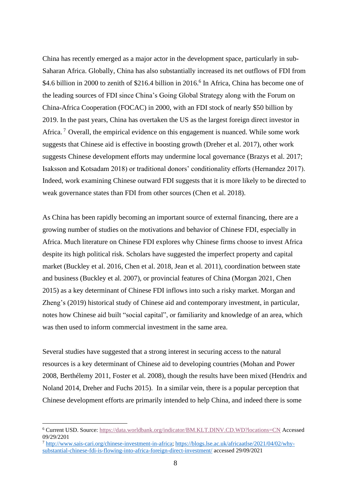China has recently emerged as a major actor in the development space, particularly in sub-Saharan Africa. Globally, China has also substantially increased its net outflows of FDI from \$4.6 billion in 2000 to zenith of \$216.4 billion in 2016.<sup>6</sup> In Africa, China has become one of the leading sources of FDI since China's Going Global Strategy along with the Forum on China-Africa Cooperation (FOCAC) in 2000, with an FDI stock of nearly \$50 billion by 2019. In the past years, China has overtaken the US as the largest foreign direct investor in Africa.<sup>7</sup> Overall, the empirical evidence on this engagement is nuanced. While some work suggests that Chinese aid is effective in boosting growth (Dreher et al. 2017), other work suggests Chinese development efforts may undermine local governance (Brazys et al. 2017; Isaksson and Kotsadam 2018) or traditional donors' conditionality efforts (Hernandez 2017). Indeed, work examining Chinese outward FDI suggests that it is more likely to be directed to weak governance states than FDI from other sources (Chen et al. 2018).

As China has been rapidly becoming an important source of external financing, there are a growing number of studies on the motivations and behavior of Chinese FDI, especially in Africa. Much literature on Chinese FDI explores why Chinese firms choose to invest Africa despite its high political risk. Scholars have suggested the imperfect property and capital market (Buckley et al. 2016, Chen et al. 2018, Jean et al. 2011), coordination between state and business (Buckley et al. 2007), or provincial features of China (Morgan 2021, Chen 2015) as a key determinant of Chinese FDI inflows into such a risky market. Morgan and Zheng's (2019) historical study of Chinese aid and contemporary investment, in particular, notes how Chinese aid built "social capital", or familiarity and knowledge of an area, which was then used to inform commercial investment in the same area.

Several studies have suggested that a strong interest in securing access to the natural resources is a key determinant of Chinese aid to developing countries (Mohan and Power 2008, Berthélemy 2011, Foster et al. 2008), though the results have been mixed (Hendrix and Noland 2014, Dreher and Fuchs 2015). In a similar vein, there is a popular perception that Chinese development efforts are primarily intended to help China, and indeed there is some

<sup>6</sup> Current USD. Source:<https://data.worldbank.org/indicator/BM.KLT.DINV.CD.WD?locations=CN> Accessed 09/29/2201

<sup>7</sup> [http://www.sais-cari.org/chinese-investment-in-africa;](http://www.sais-cari.org/chinese-investment-in-africa) [https://blogs.lse.ac.uk/africaatlse/2021/04/02/why](https://blogs.lse.ac.uk/africaatlse/2021/04/02/why-substantial-chinese-fdi-is-flowing-into-africa-foreign-direct-investment/)[substantial-chinese-fdi-is-flowing-into-africa-foreign-direct-investment/](https://blogs.lse.ac.uk/africaatlse/2021/04/02/why-substantial-chinese-fdi-is-flowing-into-africa-foreign-direct-investment/) accessed 29/09/2021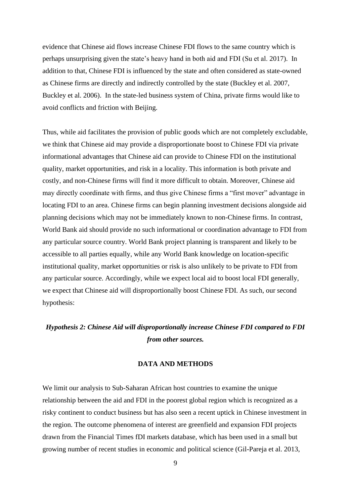evidence that Chinese aid flows increase Chinese FDI flows to the same country which is perhaps unsurprising given the state's heavy hand in both aid and FDI (Su et al. 2017). In addition to that, Chinese FDI is influenced by the state and often considered as state-owned as Chinese firms are directly and indirectly controlled by the state (Buckley et al. 2007, Buckley et al. 2006). In the state-led business system of China, private firms would like to avoid conflicts and friction with Beijing.

Thus, while aid facilitates the provision of public goods which are not completely excludable, we think that Chinese aid may provide a disproportionate boost to Chinese FDI via private informational advantages that Chinese aid can provide to Chinese FDI on the institutional quality, market opportunities, and risk in a locality. This information is both private and costly, and non-Chinese firms will find it more difficult to obtain. Moreover, Chinese aid may directly coordinate with firms, and thus give Chinese firms a "first mover" advantage in locating FDI to an area. Chinese firms can begin planning investment decisions alongside aid planning decisions which may not be immediately known to non-Chinese firms. In contrast, World Bank aid should provide no such informational or coordination advantage to FDI from any particular source country. World Bank project planning is transparent and likely to be accessible to all parties equally, while any World Bank knowledge on location-specific institutional quality, market opportunities or risk is also unlikely to be private to FDI from any particular source. Accordingly, while we expect local aid to boost local FDI generally, we expect that Chinese aid will disproportionally boost Chinese FDI. As such, our second hypothesis:

# *Hypothesis 2: Chinese Aid will disproportionally increase Chinese FDI compared to FDI from other sources.*

## **DATA AND METHODS**

We limit our analysis to Sub-Saharan African host countries to examine the unique relationship between the aid and FDI in the poorest global region which is recognized as a risky continent to conduct business but has also seen a recent uptick in Chinese investment in the region. The outcome phenomena of interest are greenfield and expansion FDI projects drawn from the Financial Times fDI markets database, which has been used in a small but growing number of recent studies in economic and political science (Gil-Pareja et al. 2013,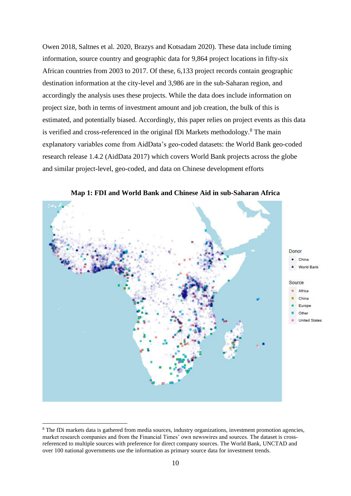Owen 2018, Saltnes et al. 2020, Brazys and Kotsadam 2020). These data include timing information, source country and geographic data for 9,864 project locations in fifty-six African countries from 2003 to 2017. Of these, 6,133 project records contain geographic destination information at the city-level and 3,986 are in the sub-Saharan region, and accordingly the analysis uses these projects. While the data does include information on project size, both in terms of investment amount and job creation, the bulk of this is estimated, and potentially biased. Accordingly, this paper relies on project events as this data is verified and cross-referenced in the original fDi Markets methodology.<sup>8</sup> The main explanatory variables come from AidData's geo-coded datasets: the World Bank geo-coded research release 1.4.2 (AidData 2017) which covers World Bank projects across the globe and similar project-level, geo-coded, and data on Chinese development efforts



**Map 1: FDI and World Bank and Chinese Aid in sub-Saharan Africa**

<sup>8</sup> The fDi markets data is gathered from media sources, industry organizations, investment promotion agencies, market research companies and from the Financial Times' own newswires and sources. The dataset is crossreferenced to multiple sources with preference for direct company sources. The World Bank, UNCTAD and over 100 national governments use the information as primary source data for investment trends.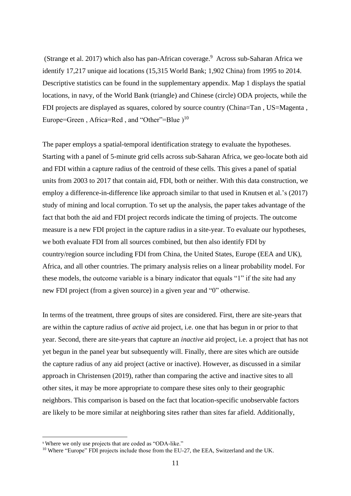(Strange et al. 2017) which also has pan-African coverage.<sup>9</sup> Across sub-Saharan Africa we identify 17,217 unique aid locations (15,315 World Bank; 1,902 China) from 1995 to 2014. Descriptive statistics can be found in the supplementary appendix. Map 1 displays the spatial locations, in navy, of the World Bank (triangle) and Chinese (circle) ODA projects, while the FDI projects are displayed as squares, colored by source country (China=Tan , US=Magenta , Europe=Green, Africa=Red, and "Other"=Blue  $)$ <sup>10</sup>

The paper employs a spatial-temporal identification strategy to evaluate the hypotheses. Starting with a panel of 5-minute grid cells across sub-Saharan Africa, we geo-locate both aid and FDI within a capture radius of the centroid of these cells. This gives a panel of spatial units from 2003 to 2017 that contain aid, FDI, both or neither. With this data construction, we employ a difference-in-difference like approach similar to that used in Knutsen et al.'s (2017) study of mining and local corruption. To set up the analysis, the paper takes advantage of the fact that both the aid and FDI project records indicate the timing of projects. The outcome measure is a new FDI project in the capture radius in a site-year. To evaluate our hypotheses, we both evaluate FDI from all sources combined, but then also identify FDI by country/region source including FDI from China, the United States, Europe (EEA and UK), Africa, and all other countries. The primary analysis relies on a linear probability model. For these models, the outcome variable is a binary indicator that equals "1" if the site had any new FDI project (from a given source) in a given year and "0" otherwise.

In terms of the treatment, three groups of sites are considered. First, there are site-years that are within the capture radius of *active* aid project, i.e. one that has begun in or prior to that year. Second, there are site-years that capture an *inactive* aid project, i.e. a project that has not yet begun in the panel year but subsequently will. Finally, there are sites which are outside the capture radius of any aid project (active or inactive). However, as discussed in a similar approach in Christensen (2019), rather than comparing the active and inactive sites to all other sites, it may be more appropriate to compare these sites only to their geographic neighbors. This comparison is based on the fact that location-specific unobservable factors are likely to be more similar at neighboring sites rather than sites far afield. Additionally,

<sup>9</sup> Where we only use projects that are coded as "ODA-like."

<sup>&</sup>lt;sup>10</sup> Where "Europe" FDI projects include those from the EU-27, the EEA, Switzerland and the UK.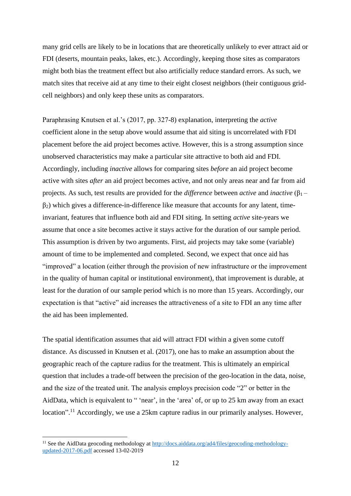many grid cells are likely to be in locations that are theoretically unlikely to ever attract aid or FDI (deserts, mountain peaks, lakes, etc.). Accordingly, keeping those sites as comparators might both bias the treatment effect but also artificially reduce standard errors. As such, we match sites that receive aid at any time to their eight closest neighbors (their contiguous gridcell neighbors) and only keep these units as comparators.

Paraphrasing Knutsen et al.'s (2017, pp. 327-8) explanation, interpreting the *active* coefficient alone in the setup above would assume that aid siting is uncorrelated with FDI placement before the aid project becomes active. However, this is a strong assumption since unobserved characteristics may make a particular site attractive to both aid and FDI. Accordingly, including *inactive* allows for comparing sites *before* an aid project become active with sites *after* an aid project becomes active, and not only areas near and far from aid projects. As such, test results are provided for the *difference* between *active* and *inactive* (β1 –  $\beta_2$ ) which gives a difference-in-difference like measure that accounts for any latent, timeinvariant, features that influence both aid and FDI siting. In setting *active* site-years we assume that once a site becomes active it stays active for the duration of our sample period. This assumption is driven by two arguments. First, aid projects may take some (variable) amount of time to be implemented and completed. Second, we expect that once aid has "improved" a location (either through the provision of new infrastructure or the improvement in the quality of human capital or institutional environment), that improvement is durable, at least for the duration of our sample period which is no more than 15 years. Accordingly, our expectation is that "active" aid increases the attractiveness of a site to FDI an any time after the aid has been implemented.

The spatial identification assumes that aid will attract FDI within a given some cutoff distance. As discussed in Knutsen et al. (2017), one has to make an assumption about the geographic reach of the capture radius for the treatment. This is ultimately an empirical question that includes a trade-off between the precision of the geo-location in the data, noise, and the size of the treated unit. The analysis employs precision code "2" or better in the AidData, which is equivalent to " 'near', in the 'area' of, or up to 25 km away from an exact location".<sup>11</sup> Accordingly, we use a 25km capture radius in our primarily analyses. However,

<sup>&</sup>lt;sup>11</sup> See the AidData geocoding methodology at [http://docs.aiddata.org/ad4/files/geocoding-methodology](http://docs.aiddata.org/ad4/files/geocoding-methodology-updated-2017-06.pdf)[updated-2017-06.pdf](http://docs.aiddata.org/ad4/files/geocoding-methodology-updated-2017-06.pdf) accessed 13-02-2019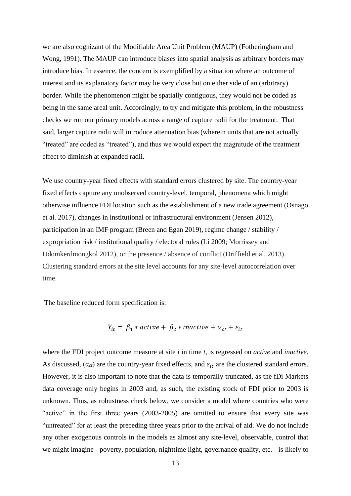we are also cognizant of the Modifiable Area Unit Problem (MAUP) (Fotheringham and Wong, 1991). The MAUP can introduce biases into spatial analysis as arbitrary borders may introduce bias. In essence, the concern is exemplified by a situation where an outcome of interest and its explanatory factor may lie very close but on either side of an (arbitrary) border. While the phenomenon might be spatially contiguous, they would not be coded as being in the same areal unit. Accordingly, to try and mitigate this problem, in the robustness checks we run our primary models across a range of capture radii for the treatment. That said, larger capture radii will introduce attenuation bias (wherein units that are not actually "treated" are coded as "treated"), and thus we would expect the magnitude of the treatment effect to diminish at expanded radii.

We use country-year fixed effects with standard errors clustered by site. The country-year fixed effects capture any unobserved country-level, temporal, phenomena which might otherwise influence FDI location such as the establishment of a new trade agreement (Osnago et al. 2017), changes in institutional or infrastructural environment (Jensen 2012), participation in an IMF program (Breen and Egan 2019), regime change / stability / expropriation risk / institutional quality / electoral rules (Li 2009; Morrissey and Udomkerdmongkol 2012), or the presence / absence of conflict (Driffield et al. 2013). Clustering standard errors at the site level accounts for any site-level autocorrelation over time.

The baseline reduced form specification is:

$$
Y_{it} = \beta_1 * active + \beta_2 * inactive + \alpha_{ct} + \varepsilon_{it}
$$

where the FDI project outcome measure at site *i* in time *t,* is regressed on *active* and *inactive*. As discussed,  $(\alpha_{ct})$  are the country-year fixed effects, and  $\varepsilon_{it}$  are the clustered standard errors. However, it is also important to note that the data is temporally truncated, as the fDi Markets data coverage only begins in 2003 and, as such, the existing stock of FDI prior to 2003 is unknown. Thus, as robustness check below, we consider a model where countries who were "active" in the first three years (2003-2005) are omitted to ensure that every site was "untreated" for at least the preceding three years prior to the arrival of aid. We do not include any other exogenous controls in the models as almost any site-level, observable, control that we might imagine - poverty, population, nighttime light, governance quality, etc. - is likely to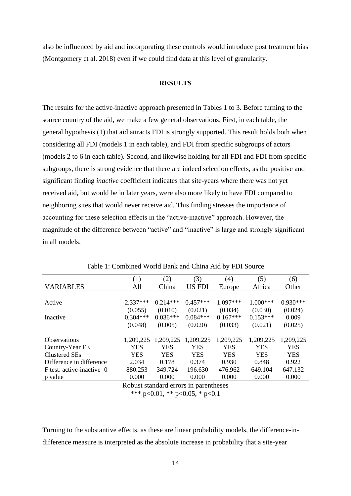also be influenced by aid and incorporating these controls would introduce post treatment bias (Montgomery et al. 2018) even if we could find data at this level of granularity.

## **RESULTS**

The results for the active-inactive approach presented in Tables 1 to 3. Before turning to the source country of the aid, we make a few general observations. First, in each table, the general hypothesis (1) that aid attracts FDI is strongly supported. This result holds both when considering all FDI (models 1 in each table), and FDI from specific subgroups of actors (models 2 to 6 in each table). Second, and likewise holding for all FDI and FDI from specific subgroups, there is strong evidence that there are indeed selection effects, as the positive and significant finding *inactive* coefficient indicates that site-years where there was not yet received aid, but would be in later years, were also more likely to have FDI compared to neighboring sites that would never receive aid. This finding stresses the importance of accounting for these selection effects in the "active-inactive" approach. However, the magnitude of the difference between "active" and "inactive" is large and strongly significant in all models.

|                             | (1)        | (2)        | (3)        | (4)        | (5)        | (6)        |
|-----------------------------|------------|------------|------------|------------|------------|------------|
| <b>VARIABLES</b>            | All        | China      | US FDI     | Europe     | Africa     | Other      |
|                             |            |            |            |            |            |            |
| Active                      | $2.337***$ | $0.214***$ | $0.457***$ | 1.097***   | $1.000***$ | $0.930***$ |
|                             | (0.055)    | (0.010)    | (0.021)    | (0.034)    | (0.030)    | (0.024)    |
| Inactive                    | $0.304***$ | $0.036***$ | $0.084***$ | $0.167***$ | $0.153***$ | 0.009      |
|                             | (0.048)    | (0.005)    | (0.020)    | (0.033)    | (0.021)    | (0.025)    |
|                             |            |            |            |            |            |            |
| <b>Observations</b>         | 1,209,225  | 1,209,225  | 1,209,225  | 1,209,225  | 1,209,225  | 1,209,225  |
| Country-Year FE             | <b>YES</b> | <b>YES</b> | <b>YES</b> | <b>YES</b> | <b>YES</b> | <b>YES</b> |
| Clustered SEs               | YES        | YES        | <b>YES</b> | <b>YES</b> | <b>YES</b> | <b>YES</b> |
| Difference in difference    | 2.034      | 0.178      | 0.374      | 0.930      | 0.848      | 0.922      |
| $F$ test: active-inactive=0 | 880.253    | 349.724    | 196.630    | 476.962    | 649.104    | 647.132    |
| p value                     | 0.000      | 0.000      | 0.000      | 0.000      | 0.000      | 0.000      |

Table 1: Combined World Bank and China Aid by FDI Source

Robust standard errors in parentheses \*\*\* p<0.01, \*\* p<0.05, \* p<0.1

Turning to the substantive effects, as these are linear probability models, the difference-indifference measure is interpreted as the absolute increase in probability that a site-year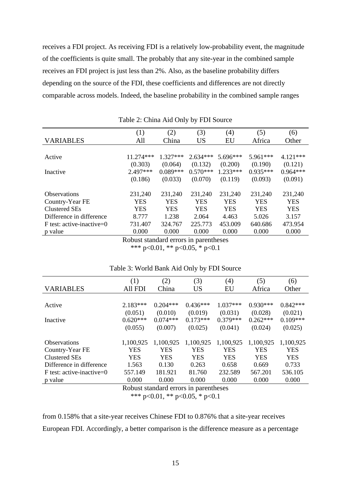receives a FDI project. As receiving FDI is a relatively low-probability event, the magnitude of the coefficients is quite small. The probably that any site-year in the combined sample receives an FDI project is just less than 2%. Also, as the baseline probability differs depending on the source of the FDI, these coefficients and differences are not directly comparable across models. Indeed, the baseline probability in the combined sample ranges

|                             | (1)                     | (2)                       | (3)        | (4)        | (5)        | (6)        |
|-----------------------------|-------------------------|---------------------------|------------|------------|------------|------------|
| <b>VARIABLES</b>            | All                     | China                     | <b>US</b>  | EU         | Africa     | Other      |
|                             |                         |                           |            |            |            |            |
| Active                      | 11.274***               | $1.327***$                | $2.634***$ | 5.696***   | 5.961***   | $4.121***$ |
|                             | (0.303)                 | (0.064)                   | (0.132)    | (0.200)    | (0.190)    | (0.121)    |
| Inactive                    | 2.497***                | $0.089***$                | $0.570***$ | $1.233***$ | $0.935***$ | $0.964***$ |
|                             | (0.186)                 | (0.033)                   | (0.070)    | (0.119)    | (0.093)    | (0.091)    |
|                             |                         |                           |            |            |            |            |
| <b>Observations</b>         | 231,240                 | 231,240                   | 231,240    | 231,240    | 231,240    | 231,240    |
| Country-Year FE             | YES                     | YES                       | YES        | YES        | <b>YES</b> | YES        |
| <b>Clustered SEs</b>        | <b>YES</b>              | <b>YES</b>                | <b>YES</b> | <b>YES</b> | <b>YES</b> | <b>YES</b> |
| Difference in difference    | 8.777                   | 1.238                     | 2.064      | 4.463      | 5.026      | 3.157      |
| $F$ test: active-inactive=0 | 731.407                 | 324.767                   | 225.773    | 453.009    | 640.686    | 473.954    |
| p value                     | 0.000                   | 0.000                     | 0.000      | 0.000      | 0.000      | 0.000      |
|                             | $\mathbf{r}$ 1 $\cdots$ | $\mathbf{1}$ $\mathbf{1}$ | $\cdot$ 1  |            |            |            |

Table 2: China Aid Only by FDI Source

Robust standard errors in parentheses \*\*\* p<0.01, \*\* p<0.05, \* p<0.1

|                              | (1)            | (2)        | (3)        | (4)        | (5)        | (6)        |
|------------------------------|----------------|------------|------------|------------|------------|------------|
| <b>VARIABLES</b>             | <b>All FDI</b> | China      | US         | EU         | Africa     | Other      |
|                              |                |            |            |            |            |            |
| Active                       | $2.183***$     | $0.204***$ | $0.436***$ | $1.037***$ | $0.930***$ | $0.842***$ |
|                              | (0.051)        | (0.010)    | (0.019)    | (0.031)    | (0.028)    | (0.021)    |
| Inactive                     | $0.620***$     | $0.074***$ | $0.173***$ | $0.379***$ | $0.262***$ | $0.109***$ |
|                              | (0.055)        | (0.007)    | (0.025)    | (0.041)    | (0.024)    | (0.025)    |
|                              |                |            |            |            |            |            |
| <b>Observations</b>          | 1,100,925      | 1,100,925  | 1,100,925  | 1,100,925  | 1,100,925  | 1,100,925  |
| Country-Year FE              | YES            | YES        | <b>YES</b> | YES        | YES        | YES        |
| Clustered SEs                | <b>YES</b>     | <b>YES</b> | <b>YES</b> | <b>YES</b> | <b>YES</b> | <b>YES</b> |
| Difference in difference     | 1.563          | 0.130      | 0.263      | 0.658      | 0.669      | 0.733      |
| F test: active-inactive= $0$ | 557.149        | 181.921    | 81.760     | 232.589    | 567.201    | 536.105    |
| p value                      | 0.000          | 0.000      | 0.000      | 0.000      | 0.000      | 0.000      |
|                              |                |            |            |            |            |            |

#### Table 3: World Bank Aid Only by FDI Source

Robust standard errors in parentheses

\*\*\* p<0.01, \*\* p<0.05, \* p<0.1

from 0.158% that a site-year receives Chinese FDI to 0.876% that a site-year receives European FDI. Accordingly, a better comparison is the difference measure as a percentage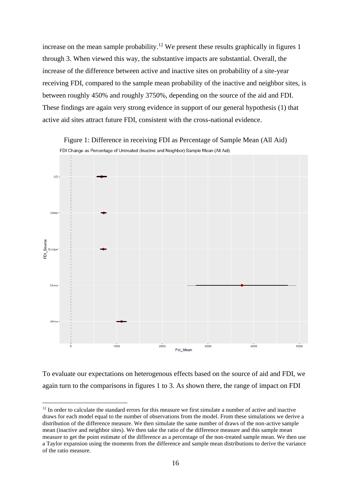increase on the mean sample probability.<sup>12</sup> We present these results graphically in figures 1 through 3. When viewed this way, the substantive impacts are substantial. Overall, the increase of the difference between active and inactive sites on probability of a site-year receiving FDI, compared to the sample mean probability of the inactive and neighbor sites, is between roughly 450% and roughly 3750%, depending on the source of the aid and FDI. These findings are again very strong evidence in support of our general hypothesis (1) that active aid sites attract future FDI, consistent with the cross-national evidence.



Figure 1: Difference in receiving FDI as Percentage of Sample Mean (All Aid) FDI Change as Percentage of Untreated (Inactive and Neighbor) Sample Mean (All Aid)

To evaluate our expectations on heterogenous effects based on the source of aid and FDI, we again turn to the comparisons in figures 1 to 3. As shown there, the range of impact on FDI

 $12$  In order to calculate the standard errors for this measure we first simulate a number of active and inactive draws for each model equal to the number of observations from the model. From these simulations we derive a distribution of the difference measure. We then simulate the same number of draws of the non-active sample mean (inactive and neighbor sites). We then take the ratio of the difference measure and this sample mean measure to get the point estimate of the difference as a percentage of the non-treated sample mean. We then use a Taylor expansion using the moments from the difference and sample mean distributions to derive the variance of the ratio measure.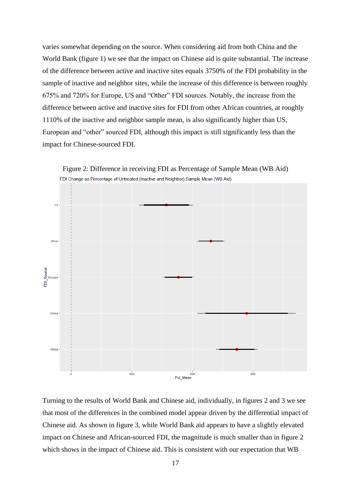varies somewhat depending on the source. When considering aid from both China and the World Bank (figure 1) we see that the impact on Chinese aid is quite substantial. The increase of the difference between active and inactive sites equals 3750% of the FDI probability in the sample of inactive and neighbor sites, while the increase of this difference is between roughly 675% and 720% for Europe, US and "Other" FDI sources. Notably, the increase from the difference between active and inactive sites for FDI from other African countries, at roughly 1110% of the inactive and neighbor sample mean, is also significantly higher than US, European and "other" sourced FDI, although this impact is still significantly less than the impact for Chinese-sourced FDI.



Turning to the results of World Bank and Chinese aid, individually, in figures 2 and 3 we see that most of the differences in the combined model appear driven by the differential impact of Chinese aid. As shown in figure 3, while World Bank aid appears to have a slightly elevated impact on Chinese and African-sourced FDI, the magnitude is much smaller than in figure 2 which shows in the impact of Chinese aid. This is consistent with our expectation that WB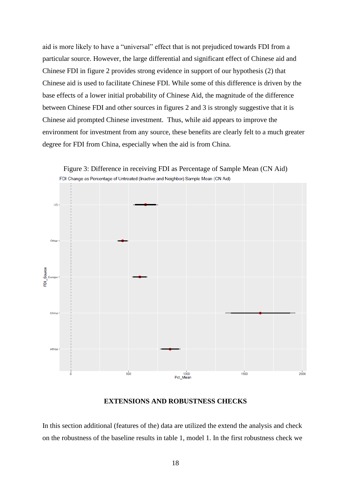aid is more likely to have a "universal" effect that is not prejudiced towards FDI from a particular source. However, the large differential and significant effect of Chinese aid and Chinese FDI in figure 2 provides strong evidence in support of our hypothesis (2) that Chinese aid is used to facilitate Chinese FDI. While some of this difference is driven by the base effects of a lower initial probability of Chinese Aid, the magnitude of the difference between Chinese FDI and other sources in figures 2 and 3 is strongly suggestive that it is Chinese aid prompted Chinese investment. Thus, while aid appears to improve the environment for investment from any source, these benefits are clearly felt to a much greater degree for FDI from China, especially when the aid is from China.



Figure 3: Difference in receiving FDI as Percentage of Sample Mean (CN Aid)

### **EXTENSIONS AND ROBUSTNESS CHECKS**

In this section additional (features of the) data are utilized the extend the analysis and check on the robustness of the baseline results in table 1, model 1. In the first robustness check we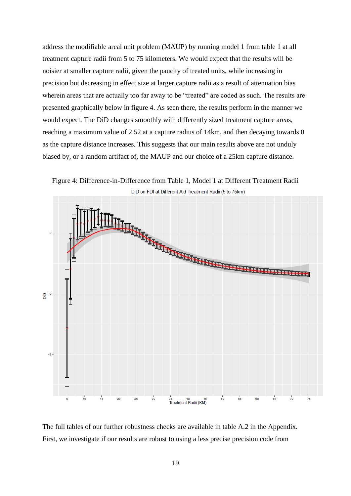address the modifiable areal unit problem (MAUP) by running model 1 from table 1 at all treatment capture radii from 5 to 75 kilometers. We would expect that the results will be noisier at smaller capture radii, given the paucity of treated units, while increasing in precision but decreasing in effect size at larger capture radii as a result of attenuation bias wherein areas that are actually too far away to be "treated" are coded as such. The results are presented graphically below in figure 4. As seen there, the results perform in the manner we would expect. The DiD changes smoothly with differently sized treatment capture areas, reaching a maximum value of 2.52 at a capture radius of 14km, and then decaying towards 0 as the capture distance increases. This suggests that our main results above are not unduly biased by, or a random artifact of, the MAUP and our choice of a 25km capture distance.

Figure 4: Difference-in-Difference from Table 1, Model 1 at Different Treatment Radii DiD on FDI at Different Aid Treatment Radii (5 to 75km)



The full tables of our further robustness checks are available in table A.2 in the Appendix. First, we investigate if our results are robust to using a less precise precision code from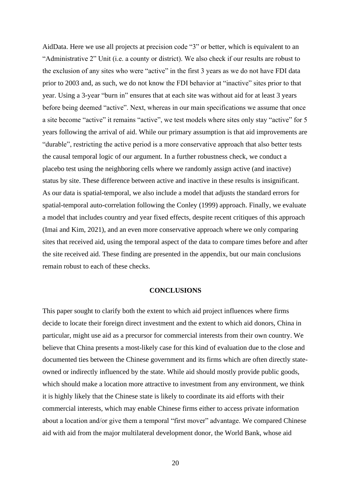AidData. Here we use all projects at precision code "3" or better, which is equivalent to an "Administrative 2" Unit (i.e. a county or district). We also check if our results are robust to the exclusion of any sites who were "active" in the first 3 years as we do not have FDI data prior to 2003 and, as such, we do not know the FDI behavior at "inactive" sites prior to that year. Using a 3-year "burn in" ensures that at each site was without aid for at least 3 years before being deemed "active". Next, whereas in our main specifications we assume that once a site become "active" it remains "active", we test models where sites only stay "active" for 5 years following the arrival of aid. While our primary assumption is that aid improvements are "durable", restricting the active period is a more conservative approach that also better tests the causal temporal logic of our argument. In a further robustness check, we conduct a placebo test using the neighboring cells where we randomly assign active (and inactive) status by site. These difference between active and inactive in these results is insignificant. As our data is spatial-temporal, we also include a model that adjusts the standard errors for spatial-temporal auto-correlation following the Conley (1999) approach. Finally, we evaluate a model that includes country and year fixed effects, despite recent critiques of this approach (Imai and Kim, 2021), and an even more conservative approach where we only comparing sites that received aid, using the temporal aspect of the data to compare times before and after the site received aid. These finding are presented in the appendix, but our main conclusions remain robust to each of these checks.

### **CONCLUSIONS**

This paper sought to clarify both the extent to which aid project influences where firms decide to locate their foreign direct investment and the extent to which aid donors, China in particular, might use aid as a precursor for commercial interests from their own country. We believe that China presents a most-likely case for this kind of evaluation due to the close and documented ties between the Chinese government and its firms which are often directly stateowned or indirectly influenced by the state. While aid should mostly provide public goods, which should make a location more attractive to investment from any environment, we think it is highly likely that the Chinese state is likely to coordinate its aid efforts with their commercial interests, which may enable Chinese firms either to access private information about a location and/or give them a temporal "first mover" advantage. We compared Chinese aid with aid from the major multilateral development donor, the World Bank, whose aid

20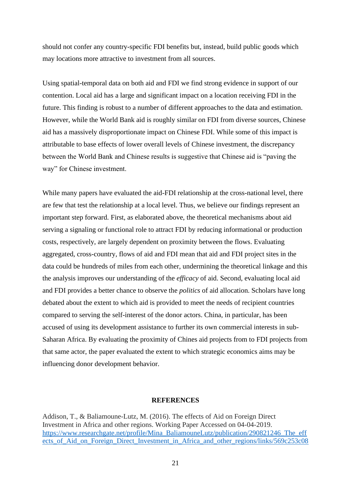should not confer any country-specific FDI benefits but, instead, build public goods which may locations more attractive to investment from all sources.

Using spatial-temporal data on both aid and FDI we find strong evidence in support of our contention. Local aid has a large and significant impact on a location receiving FDI in the future. This finding is robust to a number of different approaches to the data and estimation. However, while the World Bank aid is roughly similar on FDI from diverse sources, Chinese aid has a massively disproportionate impact on Chinese FDI. While some of this impact is attributable to base effects of lower overall levels of Chinese investment, the discrepancy between the World Bank and Chinese results is suggestive that Chinese aid is "paving the way" for Chinese investment.

While many papers have evaluated the aid-FDI relationship at the cross-national level, there are few that test the relationship at a local level. Thus, we believe our findings represent an important step forward. First, as elaborated above, the theoretical mechanisms about aid serving a signaling or functional role to attract FDI by reducing informational or production costs, respectively, are largely dependent on proximity between the flows. Evaluating aggregated, cross-country, flows of aid and FDI mean that aid and FDI project sites in the data could be hundreds of miles from each other, undermining the theoretical linkage and this the analysis improves our understanding of the *efficacy* of aid. Second, evaluating local aid and FDI provides a better chance to observe the *politics* of aid allocation. Scholars have long debated about the extent to which aid is provided to meet the needs of recipient countries compared to serving the self-interest of the donor actors. China, in particular, has been accused of using its development assistance to further its own commercial interests in sub-Saharan Africa. By evaluating the proximity of Chines aid projects from to FDI projects from that same actor, the paper evaluated the extent to which strategic economics aims may be influencing donor development behavior.

### **REFERENCES**

Addison, T., & Baliamoune-Lutz, M. (2016). The effects of Aid on Foreign Direct Investment in Africa and other regions. Working Paper Accessed on 04-04-2019. [https://www.researchgate.net/profile/Mina\\_BaliamouneLutz/publication/290821246\\_The\\_eff](https://www.researchgate.net/profile/Mina_BaliamouneLutz/publication/290821246_The_effects_of_Aid_on_Foreign_Direct_Investment_in_Africa_and_other_regions/links/569c253c08ae6169e5627ae1/The-effects-of-Aid-on-Foreign-Direct-Investment-in-Africa-and-other-regions.pdf) [ects\\_of\\_Aid\\_on\\_Foreign\\_Direct\\_Investment\\_in\\_Africa\\_and\\_other\\_regions/links/569c253c08](https://www.researchgate.net/profile/Mina_BaliamouneLutz/publication/290821246_The_effects_of_Aid_on_Foreign_Direct_Investment_in_Africa_and_other_regions/links/569c253c08ae6169e5627ae1/The-effects-of-Aid-on-Foreign-Direct-Investment-in-Africa-and-other-regions.pdf)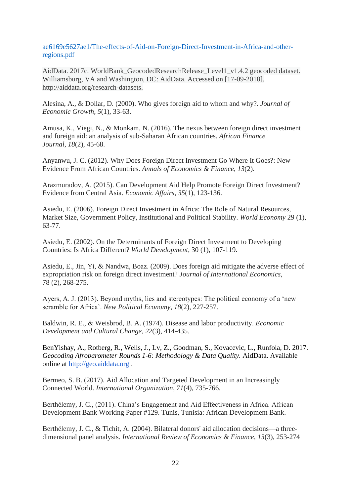[ae6169e5627ae1/The-effects-of-Aid-on-Foreign-Direct-Investment-in-Africa-and-other](https://www.researchgate.net/profile/Mina_BaliamouneLutz/publication/290821246_The_effects_of_Aid_on_Foreign_Direct_Investment_in_Africa_and_other_regions/links/569c253c08ae6169e5627ae1/The-effects-of-Aid-on-Foreign-Direct-Investment-in-Africa-and-other-regions.pdf)[regions.pdf](https://www.researchgate.net/profile/Mina_BaliamouneLutz/publication/290821246_The_effects_of_Aid_on_Foreign_Direct_Investment_in_Africa_and_other_regions/links/569c253c08ae6169e5627ae1/The-effects-of-Aid-on-Foreign-Direct-Investment-in-Africa-and-other-regions.pdf)

AidData. 2017c. WorldBank\_GeocodedResearchRelease\_Level1\_v1.4.2 geocoded dataset. Williamsburg, VA and Washington, DC: AidData. Accessed on [17-09-2018]. http://aiddata.org/research-datasets.

Alesina, A., & Dollar, D. (2000). Who gives foreign aid to whom and why?. *Journal of Economic Growth*, *5*(1), 33-63.

Amusa, K., Viegi, N., & Monkam, N. (2016). The nexus between foreign direct investment and foreign aid: an analysis of sub-Saharan African countries. *African Finance Journal*, *18*(2), 45-68.

Anyanwu, J. C. (2012). Why Does Foreign Direct Investment Go Where It Goes?: New Evidence From African Countries. *Annals of Economics & Finance*, *13*(2).

Arazmuradov, A. (2015). Can Development Aid Help Promote Foreign Direct Investment? Evidence from Central Asia. *Economic Affairs*, *35*(1), 123-136.

Asiedu, E. (2006). Foreign Direct Investment in Africa: The Role of Natural Resources, Market Size, Government Policy, Institutional and Political Stability. *World Economy* 29 (1), 63-77.

Asiedu, E. (2002). On the Determinants of Foreign Direct Investment to Developing Countries: Is Africa Different? *World Development*, 30 (1), 107-119.

Asiedu, E., Jin, Yi, & Nandwa, Boaz. (2009). Does foreign aid mitigate the adverse effect of expropriation risk on foreign direct investment? *Journal of International Economics*, 78 (2), 268-275.

Ayers, A. J. (2013). Beyond myths, lies and stereotypes: The political economy of a 'new scramble for Africa'. *New Political Economy*, *18*(2), 227-257.

Baldwin, R. E., & Weisbrod, B. A. (1974). Disease and labor productivity. *Economic Development and Cultural Change*, *22*(3), 414-435.

BenYishay, A., Rotberg, R., Wells, J., Lv, Z., Goodman, S., Kovacevic, L., Runfola, D. 2017. *Geocoding Afrobarometer Rounds 1-6: Methodology & Data Quality.* AidData. Available online at http://geo.aiddata.org .

Bermeo, S. B. (2017). Aid Allocation and Targeted Development in an Increasingly Connected World. *International Organization*, *71*(4), 735-766.

Berthélemy, J. C., (2011). China's Engagement and Aid Effectiveness in Africa. African Development Bank Working Paper #129. Tunis, Tunisia: African Development Bank.

Berthélemy, J. C., & Tichit, A. (2004). Bilateral donors' aid allocation decisions—a threedimensional panel analysis. *International Review of Economics & Finance*, *13*(3), 253-274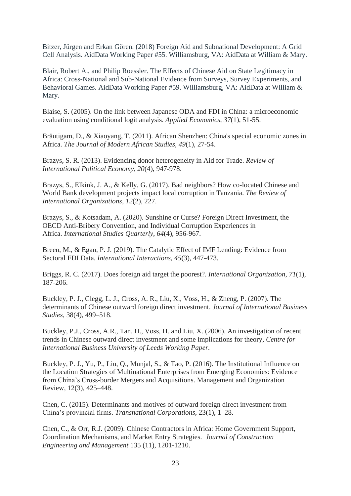Bitzer, Jürgen and Erkan Gören. (2018) Foreign Aid and Subnational Development: A Grid Cell Analysis. AidData Working Paper #55. Williamsburg, VA: AidData at William & Mary.

Blair, Robert A., and Philip Roessler. The Effects of Chinese Aid on State Legitimacy in Africa: Cross-National and Sub-National Evidence from Surveys, Survey Experiments, and Behavioral Games. AidData Working Paper #59. Williamsburg, VA: AidData at William & Mary.

Blaise, S. (2005). On the link between Japanese ODA and FDI in China: a microeconomic evaluation using conditional logit analysis. *Applied Economics*, *37*(1), 51-55.

Bräutigam, D., & Xiaoyang, T. (2011). African Shenzhen: China's special economic zones in Africa. *The Journal of Modern African Studies*, *49*(1), 27-54.

Brazys, S. R. (2013). Evidencing donor heterogeneity in Aid for Trade. *Review of International Political Economy*, *20*(4), 947-978.

Brazys, S., Elkink, J. A., & Kelly, G. (2017). Bad neighbors? How co-located Chinese and World Bank development projects impact local corruption in Tanzania. *The Review of International Organizations*, *12*(2), 227.

Brazys, S., & Kotsadam, A. (2020). Sunshine or Curse? Foreign Direct Investment, the OECD Anti-Bribery Convention, and Individual Corruption Experiences in Africa. *International Studies Quarterly*, *64*(4), 956-967.

Breen, M., & Egan, P. J. (2019). The Catalytic Effect of IMF Lending: Evidence from Sectoral FDI Data. *International Interactions*, *45*(3), 447-473.

Briggs, R. C. (2017). Does foreign aid target the poorest?. *International Organization*, *71*(1), 187-206.

Buckley, P. J., Clegg, L. J., Cross, A. R., Liu, X., Voss, H., & Zheng, P. (2007). The determinants of Chinese outward foreign direct investment. *Journal of International Business Studies*, 38(4), 499–518.

Buckley, P.J., Cross, A.R., Tan, H., Voss, H. and Liu, X. (2006). An investigation of recent trends in Chinese outward direct investment and some implications for theory, *Centre for International Business University of Leeds Working Paper.*

Buckley, P. J., Yu, P., Liu, Q., Munjal, S., & Tao, P. (2016). The Institutional Influence on the Location Strategies of Multinational Enterprises from Emerging Economies: Evidence from China's Cross-border Mergers and Acquisitions. Management and Organization Review, 12(3), 425–448.

Chen, C. (2015). Determinants and motives of outward foreign direct investment from China's provincial firms. *Transnational Corporations*, 23(1), 1–28.

Chen, C., & Orr, R.J. (2009). Chinese Contractors in Africa: Home Government Support, Coordination Mechanisms, and Market Entry Strategies. *Journal of Construction Engineering and Management* 135 (11), 1201-1210.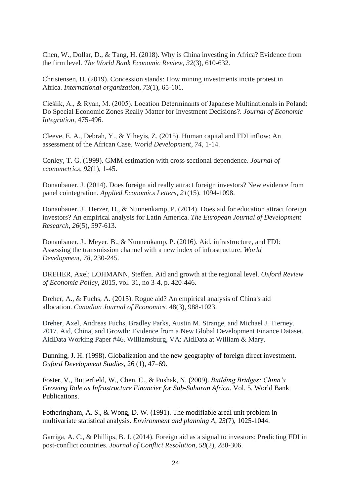Chen, W., Dollar, D., & Tang, H. (2018). Why is China investing in Africa? Evidence from the firm level. *The World Bank Economic Review*, *32*(3), 610-632.

Christensen, D. (2019). Concession stands: How mining investments incite protest in Africa. *International organization*, *73*(1), 65-101.

Cieślik, A., & Ryan, M. (2005). Location Determinants of Japanese Multinationals in Poland: Do Special Economic Zones Really Matter for Investment Decisions?. *Journal of Economic Integration*, 475-496.

Cleeve, E. A., Debrah, Y., & Yiheyis, Z. (2015). Human capital and FDI inflow: An assessment of the African Case. *World Development*, *74*, 1-14.

Conley, T. G. (1999). GMM estimation with cross sectional dependence. *Journal of econometrics*, *92*(1), 1-45.

Donaubauer, J. (2014). Does foreign aid really attract foreign investors? New evidence from panel cointegration. *Applied Economics Letters*, *21*(15), 1094-1098.

Donaubauer, J., Herzer, D., & Nunnenkamp, P. (2014). Does aid for education attract foreign investors? An empirical analysis for Latin America. *The European Journal of Development Research*, *26*(5), 597-613.

Donaubauer, J., Meyer, B., & Nunnenkamp, P. (2016). Aid, infrastructure, and FDI: Assessing the transmission channel with a new index of infrastructure. *World Development*, *78*, 230-245.

DREHER, Axel; LOHMANN, Steffen. Aid and growth at the regional level. *Oxford Review of Economic Policy*, 2015, vol. 31, no 3-4, p. 420-446.

Dreher, A., & Fuchs, A. (2015). Rogue aid? An empirical analysis of China's aid allocation. *Canadian Journal of Economics.* 48(3), 988-1023.

Dreher, Axel, Andreas Fuchs, Bradley Parks, Austin M. Strange, and Michael J. Tierney. 2017. Aid, China, and Growth: Evidence from a New Global Development Finance Dataset. AidData Working Paper #46. Williamsburg, VA: AidData at William & Mary.

Dunning, J. H. (1998). Globalization and the new geography of foreign direct investment. *Oxford Development Studies*, 26 (1), 47–69.

Foster, V., Butterfield, W., Chen, C., & Pushak, N. (2009). *Building Bridges: China's Growing Role as Infrastructure Financier for Sub-Saharan Africa*. Vol. 5. World Bank Publications.

Fotheringham, A. S., & Wong, D. W. (1991). The modifiable areal unit problem in multivariate statistical analysis. *Environment and planning A*, *23*(7), 1025-1044.

Garriga, A. C., & Phillips, B. J. (2014). Foreign aid as a signal to investors: Predicting FDI in post-conflict countries. *Journal of Conflict Resolution*, *58*(2), 280-306.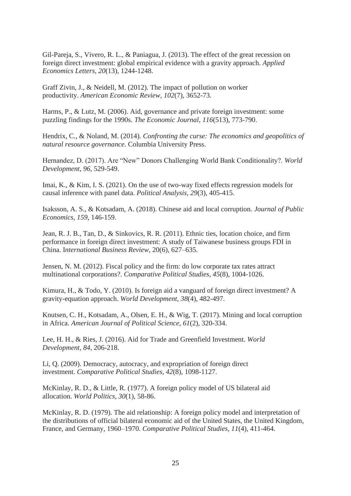Gil-Pareja, S., Vivero, R. L., & Paniagua, J. (2013). The effect of the great recession on foreign direct investment: global empirical evidence with a gravity approach. *Applied Economics Letters*, *20*(13), 1244-1248.

Graff Zivin, J., & Neidell, M. (2012). The impact of pollution on worker productivity. *American Economic Review*, *102*(7), 3652-73.

Harms, P., & Lutz, M. (2006). Aid, governance and private foreign investment: some puzzling findings for the 1990s. *The Economic Journal*, *116*(513), 773-790.

Hendrix, C., & Noland, M. (2014). *Confronting the curse: The economics and geopolitics of natural resource governance*. Columbia University Press.

Hernandez, D. (2017). Are "New" Donors Challenging World Bank Conditionality?. *World Development*, *96*, 529-549.

Imai, K., & Kim, I. S. (2021). On the use of two-way fixed effects regression models for causal inference with panel data. *Political Analysis*, *29*(3), 405-415.

Isaksson, A. S., & Kotsadam, A. (2018). Chinese aid and local corruption. *Journal of Public Economics*, *159*, 146-159.

Jean, R. J. B., Tan, D., & Sinkovics, R. R. (2011). Ethnic ties, location choice, and firm performance in foreign direct investment: A study of Taiwanese business groups FDI in China. I*nternational Business Review,* 20(6), 627–635.

Jensen, N. M. (2012). Fiscal policy and the firm: do low corporate tax rates attract multinational corporations?. *Comparative Political Studies*, *45*(8), 1004-1026.

Kimura, H., & Todo, Y. (2010). Is foreign aid a vanguard of foreign direct investment? A gravity-equation approach. *World Development*, *38*(4), 482-497.

Knutsen, C. H., Kotsadam, A., Olsen, E. H., & Wig, T. (2017). Mining and local corruption in Africa. *American Journal of Political Science*, *61*(2), 320-334.

Lee, H. H., & Ries, J. (2016). Aid for Trade and Greenfield Investment. *World Development*, *84*, 206-218.

Li, Q. (2009). Democracy, autocracy, and expropriation of foreign direct investment. *Comparative Political Studies*, *42*(8), 1098-1127.

McKinlay, R. D., & Little, R. (1977). A foreign policy model of US bilateral aid allocation. *World Politics*, *30*(1), 58-86.

McKinlay, R. D. (1979). The aid relationship: A foreign policy model and interpretation of the distributions of official bilateral economic aid of the United States, the United Kingdom, France, and Germany, 1960–1970. *Comparative Political Studies*, *11*(4), 411-464.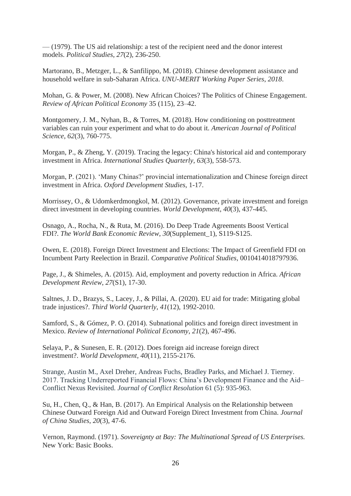— (1979). The US aid relationship: a test of the recipient need and the donor interest models. *Political Studies*, *27*(2), 236-250.

Martorano, B., Metzger, L., & Sanfilippo, M. (2018). Chinese development assistance and household welfare in sub-Saharan Africa. *UNU-MERIT Working Paper Series*, *2018*.

Mohan, G. & Power, M. (2008). New African Choices? The Politics of Chinese Engagement. *Review of African Political Economy* 35 (115), 23–42.

Montgomery, J. M., Nyhan, B., & Torres, M. (2018). How conditioning on posttreatment variables can ruin your experiment and what to do about it. *American Journal of Political Science*, *62*(3), 760-775.

Morgan, P., & Zheng, Y. (2019). Tracing the legacy: China's historical aid and contemporary investment in Africa. *International Studies Quarterly*, *63*(3), 558-573.

Morgan, P. (2021). 'Many Chinas?' provincial internationalization and Chinese foreign direct investment in Africa. *Oxford Development Studies*, 1-17.

Morrissey, O., & Udomkerdmongkol, M. (2012). Governance, private investment and foreign direct investment in developing countries. *World Development*, *40*(3), 437-445.

Osnago, A., Rocha, N., & Ruta, M. (2016). Do Deep Trade Agreements Boost Vertical FDI?. *The World Bank Economic Review*, *30*(Supplement\_1), S119-S125.

Owen, E. (2018). Foreign Direct Investment and Elections: The Impact of Greenfield FDI on Incumbent Party Reelection in Brazil. *Comparative Political Studies*, 0010414018797936.

Page, J., & Shimeles, A. (2015). Aid, employment and poverty reduction in Africa. *African Development Review*, *27*(S1), 17-30.

Saltnes, J. D., Brazys, S., Lacey, J., & Pillai, A. (2020). EU aid for trade: Mitigating global trade injustices?. *Third World Quarterly*, *41*(12), 1992-2010.

Samford, S., & Gómez, P. O. (2014). Subnational politics and foreign direct investment in Mexico. *Review of International Political Economy*, *21*(2), 467-496.

Selaya, P., & Sunesen, E. R. (2012). Does foreign aid increase foreign direct investment?. *World Development*, *40*(11), 2155-2176.

Strange, Austin M., Axel Dreher, Andreas Fuchs, Bradley Parks, and Michael J. Tierney. 2017. Tracking Underreported Financial Flows: China's Development Finance and the Aid– Conflict Nexus Revisited. *Journal of Conflict Resolution* 61 (5): 935-963.

Su, H., Chen, Q., & Han, B. (2017). An Empirical Analysis on the Relationship between Chinese Outward Foreign Aid and Outward Foreign Direct Investment from China. *Journal of China Studies*, *20*(3), 47-6.

Vernon, Raymond. (1971). *Sovereignty at Bay: The Multinational Spread of US Enterprises.* New York: Basic Books.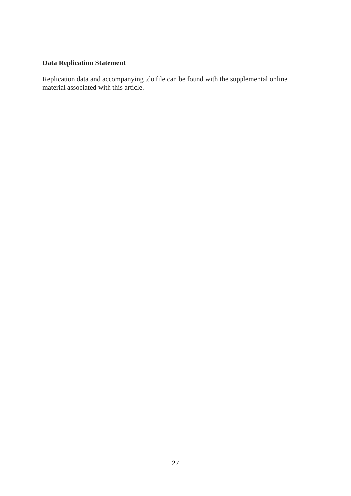# **Data Replication Statement**

Replication data and accompanying .do file can be found with the supplemental online material associated with this article.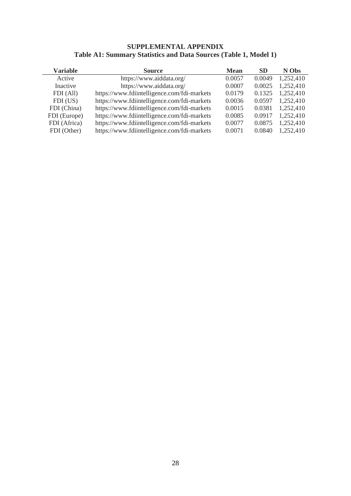## **SUPPLEMENTAL APPENDIX Table A1: Summary Statistics and Data Sources (Table 1, Model 1)**

| <b>Variable</b> | <b>Source</b>                               | <b>Mean</b> | <b>SD</b> | N Obs     |
|-----------------|---------------------------------------------|-------------|-----------|-----------|
| Active          | https://www.aiddata.org/                    | 0.0057      | 0.0049    | 1,252,410 |
| Inactive        | https://www.aiddata.org/                    | 0.0007      | 0.0025    | 1,252,410 |
| FDI (All)       | https://www.fdiintelligence.com/fdi-markets | 0.0179      | 0.1325    | 1,252,410 |
| FDI (US)        | https://www.fdiintelligence.com/fdi-markets | 0.0036      | 0.0597    | 1,252,410 |
| FDI (China)     | https://www.fdiintelligence.com/fdi-markets | 0.0015      | 0.0381    | 1,252,410 |
| FDI (Europe)    | https://www.fdiintelligence.com/fdi-markets | 0.0085      | 0.0917    | 1,252,410 |
| FDI (Africa)    | https://www.fdiintelligence.com/fdi-markets | 0.0077      | 0.0875    | 1,252,410 |
| FDI (Other)     | https://www.fdiintelligence.com/fdi-markets | 0.0071      | 0.0840    | 1,252,410 |